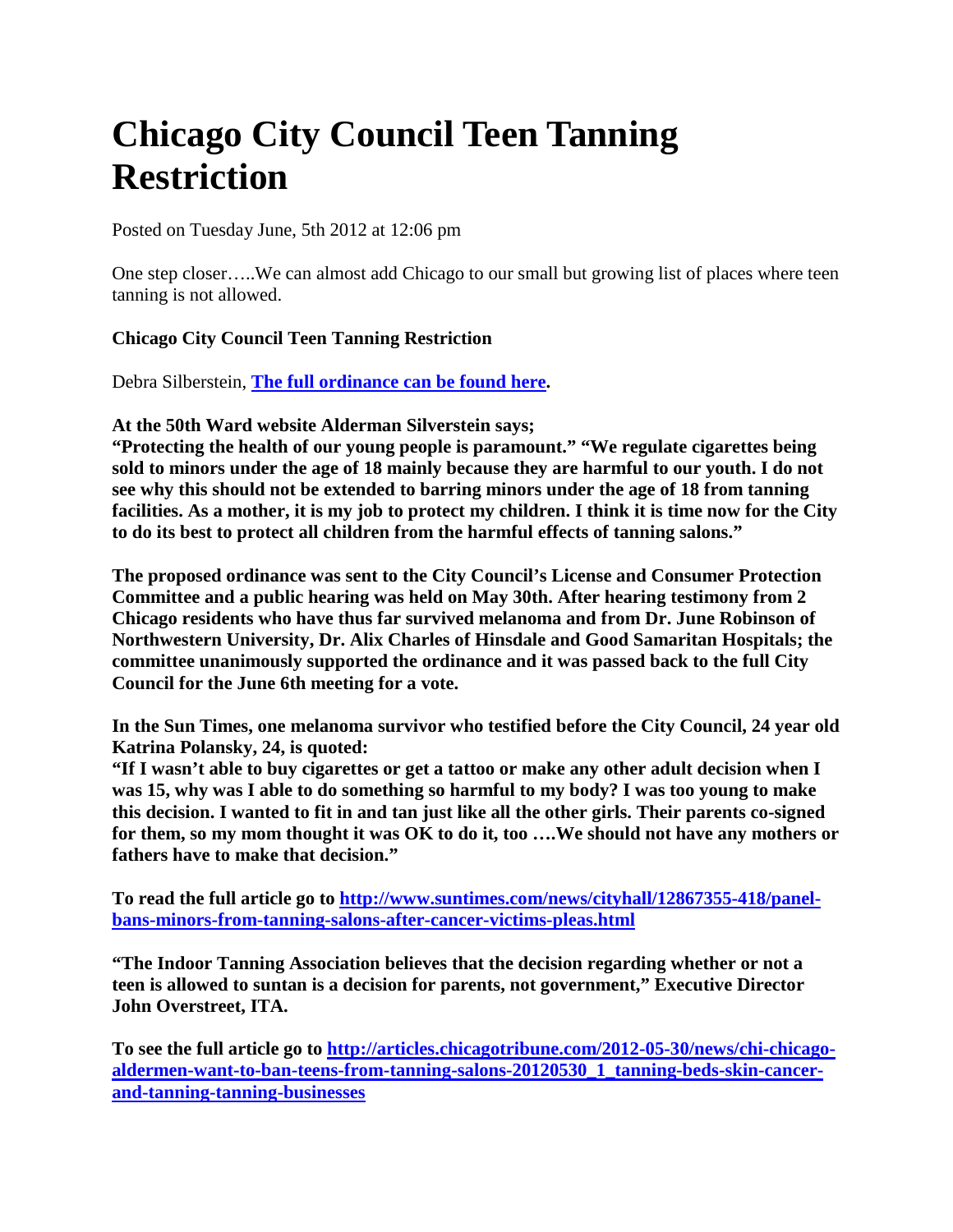## **Chicago City Council Teen Tanning Restriction**

Posted on Tuesday June, 5th 2012 at 12:06 pm

One step closer…..We can almost add Chicago to our small but growing list of places where teen tanning is not allowed.

## **Chicago City Council Teen Tanning Restriction**

Debra Silberstein, **[The full ordinance can be found here.](http://www.dnanurse.org/sites/default/files/downloads/2012/SilversteinTanningSalonOrdinance.pdf)**

**At the 50th Ward website Alderman Silverstein says;**

**"Protecting the health of our young people is paramount." "We regulate cigarettes being sold to minors under the age of 18 mainly because they are harmful to our youth. I do not see why this should not be extended to barring minors under the age of 18 from tanning facilities. As a mother, it is my job to protect my children. I think it is time now for the City to do its best to protect all children from the harmful effects of tanning salons."**

**The proposed ordinance was sent to the City Council's License and Consumer Protection Committee and a public hearing was held on May 30th. After hearing testimony from 2 Chicago residents who have thus far survived melanoma and from Dr. June Robinson of Northwestern University, Dr. Alix Charles of Hinsdale and Good Samaritan Hospitals; the committee unanimously supported the ordinance and it was passed back to the full City Council for the June 6th meeting for a vote.**

**In the Sun Times, one melanoma survivor who testified before the City Council, 24 year old Katrina Polansky, 24, is quoted:**

**"If I wasn't able to buy cigarettes or get a tattoo or make any other adult decision when I was 15, why was I able to do something so harmful to my body? I was too young to make this decision. I wanted to fit in and tan just like all the other girls. Their parents co-signed for them, so my mom thought it was OK to do it, too ….We should not have any mothers or fathers have to make that decision."**

**To read the full article go to [http://www.suntimes.com/news/cityhall/12867355-418/panel](http://www.suntimes.com/news/cityhall/12867355-418/panel-bans-minors-from-tanning-salons-after-cancer-victims-pleas.html)[bans-minors-from-tanning-salons-after-cancer-victims-pleas.html](http://www.suntimes.com/news/cityhall/12867355-418/panel-bans-minors-from-tanning-salons-after-cancer-victims-pleas.html)**

**"The Indoor Tanning Association believes that the decision regarding whether or not a teen is allowed to suntan is a decision for parents, not government," Executive Director John Overstreet, ITA.**

**To see the full article go to [http://articles.chicagotribune.com/2012-05-30/news/chi-chicago](http://articles.chicagotribune.com/2012-05-30/news/chi-chicago-aldermen-want-to-ban-teens-from-tanning-salons-20120530_1_tanning-beds-skin-cancer-and-tanning-tanning-businesses)[aldermen-want-to-ban-teens-from-tanning-salons-20120530\\_1\\_tanning-beds-skin-cancer](http://articles.chicagotribune.com/2012-05-30/news/chi-chicago-aldermen-want-to-ban-teens-from-tanning-salons-20120530_1_tanning-beds-skin-cancer-and-tanning-tanning-businesses)[and-tanning-tanning-businesses](http://articles.chicagotribune.com/2012-05-30/news/chi-chicago-aldermen-want-to-ban-teens-from-tanning-salons-20120530_1_tanning-beds-skin-cancer-and-tanning-tanning-businesses)**